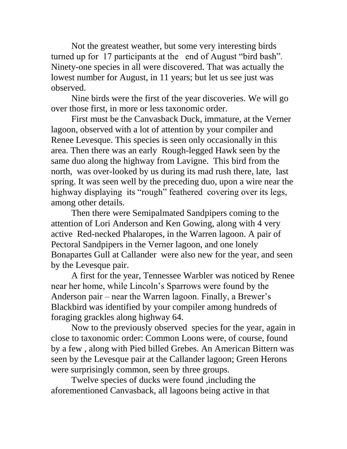Not the greatest weather, but some very interesting birds turned up for 17 participants at the end of August "bird bash". Ninety-one species in all were discovered. That was actually the lowest number for August, in 11 years; but let us see just was observed.

Nine birds were the first of the year discoveries. We will go over those first, in more or less taxonomic order.

First must be the Canvasback Duck, immature, at the Verner lagoon, observed with a lot of attention by your compiler and Renee Levesque. This species is seen only occasionally in this area. Then there was an early Rough-legged Hawk seen by the same duo along the highway from Lavigne. This bird from the north, was over-looked by us during its mad rush there, late, last spring. It was seen well by the preceding duo, upon a wire near the highway displaying its "rough" feathered covering over its legs, among other details.

Then there were Semipalmated Sandpipers coming to the attention of Lori Anderson and Ken Gowing, along with 4 very active Red-necked Phalaropes, in the Warren lagoon. A pair of Pectoral Sandpipers in the Verner lagoon, and one lonely Bonapartes Gull at Callander were also new for the year, and seen by the Levesque pair.

A first for the year, Tennessee Warbler was noticed by Renee near her home, while Lincoln's Sparrows were found by the Anderson pair – near the Warren lagoon. Finally, a Brewer's Blackbird was identified by your compiler among hundreds of foraging grackles along highway 64.

Now to the previously observed species for the year, again in close to taxonomic order: Common Loons were, of course, found by a few , along with Pied billed Grebes. An American Bittern was seen by the Levesque pair at the Callander lagoon; Green Herons were surprisingly common, seen by three groups.

Twelve species of ducks were found ,including the aforementioned Canvasback, all lagoons being active in that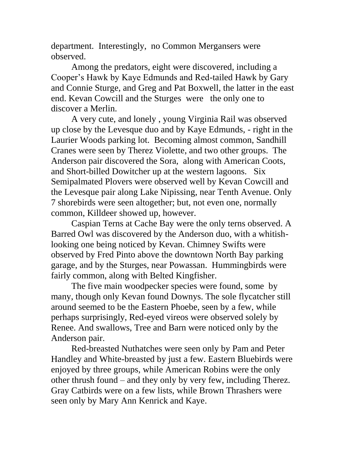department. Interestingly, no Common Mergansers were observed.

Among the predators, eight were discovered, including a Cooper's Hawk by Kaye Edmunds and Red-tailed Hawk by Gary and Connie Sturge, and Greg and Pat Boxwell, the latter in the east end. Kevan Cowcill and the Sturges were the only one to discover a Merlin.

A very cute, and lonely , young Virginia Rail was observed up close by the Levesque duo and by Kaye Edmunds, - right in the Laurier Woods parking lot. Becoming almost common, Sandhill Cranes were seen by Therez Violette, and two other groups. The Anderson pair discovered the Sora, along with American Coots, and Short-billed Dowitcher up at the western lagoons. Six Semipalmated Plovers were observed well by Kevan Cowcill and the Levesque pair along Lake Nipissing, near Tenth Avenue. Only 7 shorebirds were seen altogether; but, not even one, normally common, Killdeer showed up, however.

Caspian Terns at Cache Bay were the only terns observed. A Barred Owl was discovered by the Anderson duo, with a whitishlooking one being noticed by Kevan. Chimney Swifts were observed by Fred Pinto above the downtown North Bay parking garage, and by the Sturges, near Powassan. Hummingbirds were fairly common, along with Belted Kingfisher.

The five main woodpecker species were found, some by many, though only Kevan found Downys. The sole flycatcher still around seemed to be the Eastern Phoebe, seen by a few, while perhaps surprisingly, Red-eyed vireos were observed solely by Renee. And swallows, Tree and Barn were noticed only by the Anderson pair.

Red-breasted Nuthatches were seen only by Pam and Peter Handley and White-breasted by just a few. Eastern Bluebirds were enjoyed by three groups, while American Robins were the only other thrush found – and they only by very few, including Therez. Gray Catbirds were on a few lists, while Brown Thrashers were seen only by Mary Ann Kenrick and Kaye.